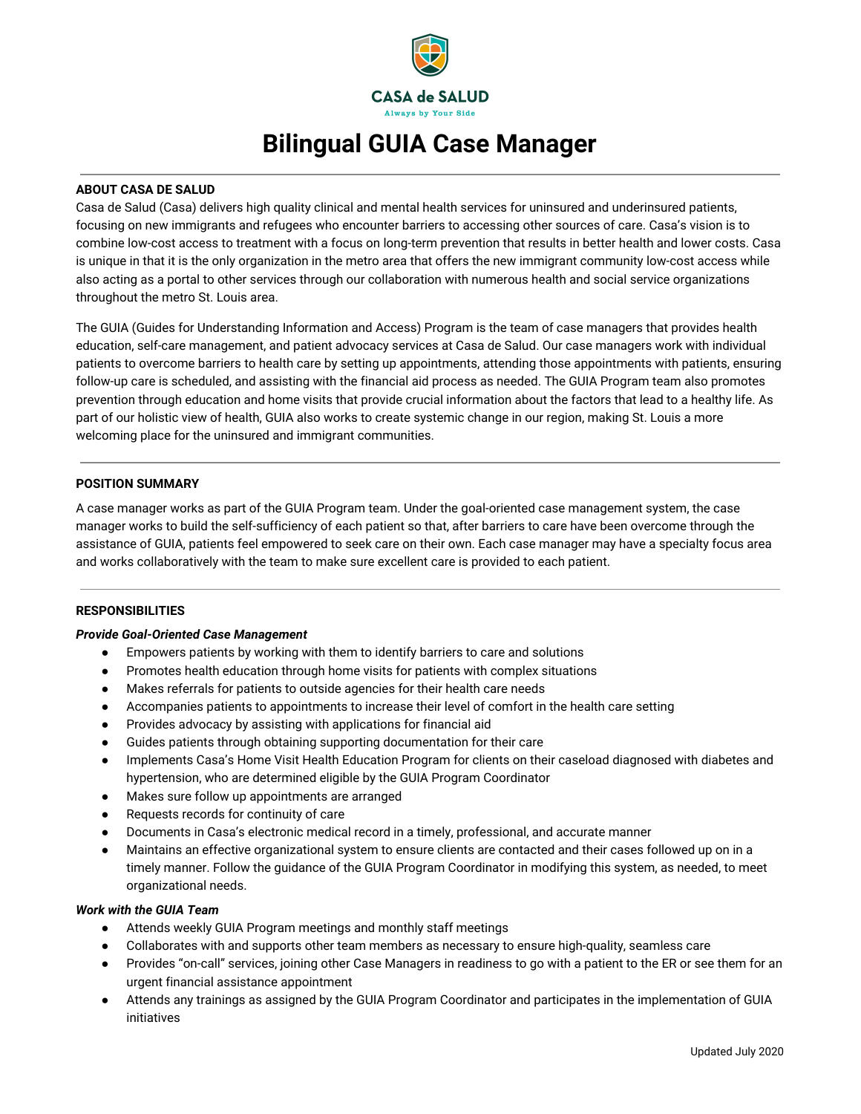

# **Bilingual GUIA Case Manager**

## **ABOUT CASA DE SALUD**

Casa de Salud (Casa) delivers high quality clinical and mental health services for uninsured and underinsured patients, focusing on new immigrants and refugees who encounter barriers to accessing other sources of care. Casa's vision is to combine low-cost access to treatment with a focus on long-term prevention that results in better health and lower costs. Casa is unique in that it is the only organization in the metro area that offers the new immigrant community low-cost access while also acting as a portal to other services through our collaboration with numerous health and social service organizations throughout the metro St. Louis area.

The GUIA (Guides for Understanding Information and Access) Program is the team of case managers that provides health education, self-care management, and patient advocacy services at Casa de Salud. Our case managers work with individual patients to overcome barriers to health care by setting up appointments, attending those appointments with patients, ensuring follow-up care is scheduled, and assisting with the financial aid process as needed. The GUIA Program team also promotes prevention through education and home visits that provide crucial information about the factors that lead to a healthy life. As part of our holistic view of health, GUIA also works to create systemic change in our region, making St. Louis a more welcoming place for the uninsured and immigrant communities.

## **POSITION SUMMARY**

A case manager works as part of the GUIA Program team. Under the goal-oriented case management system, the case manager works to build the self-sufficiency of each patient so that, after barriers to care have been overcome through the assistance of GUIA, patients feel empowered to seek care on their own. Each case manager may have a specialty focus area and works collaboratively with the team to make sure excellent care is provided to each patient.

## **RESPONSIBILITIES**

## *Provide Goal-Oriented Case Management*

- Empowers patients by working with them to identify barriers to care and solutions
- Promotes health education through home visits for patients with complex situations
- Makes referrals for patients to outside agencies for their health care needs
- Accompanies patients to appointments to increase their level of comfort in the health care setting
- Provides advocacy by assisting with applications for financial aid
- Guides patients through obtaining supporting documentation for their care
- Implements Casa's Home Visit Health Education Program for clients on their caseload diagnosed with diabetes and hypertension, who are determined eligible by the GUIA Program Coordinator
- Makes sure follow up appointments are arranged
- Requests records for continuity of care
- Documents in Casa's electronic medical record in a timely, professional, and accurate manner
- Maintains an effective organizational system to ensure clients are contacted and their cases followed up on in a timely manner. Follow the guidance of the GUIA Program Coordinator in modifying this system, as needed, to meet organizational needs.

#### *Work with the GUIA Team*

- Attends weekly GUIA Program meetings and monthly staff meetings
- Collaborates with and supports other team members as necessary to ensure high-quality, seamless care
- Provides "on-call" services, joining other Case Managers in readiness to go with a patient to the ER or see them for an urgent financial assistance appointment
- Attends any trainings as assigned by the GUIA Program Coordinator and participates in the implementation of GUIA initiatives